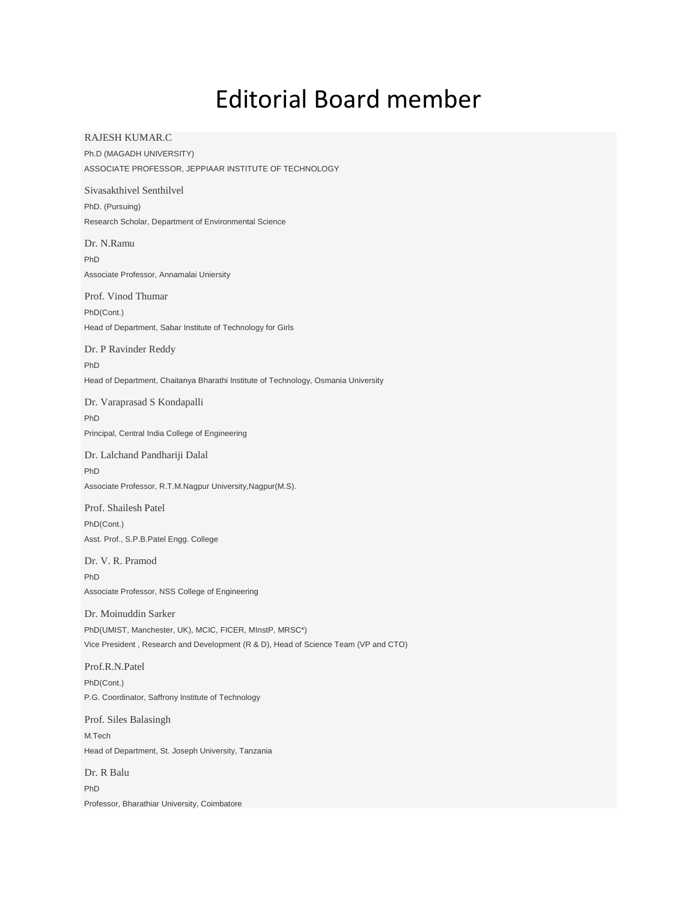# Editorial Board member

RAJESH KUMAR.C Ph.D (MAGADH UNIVERSITY) ASSOCIATE PROFESSOR, JEPPIAAR INSTITUTE OF TECHNOLOGY

Sivasakthivel Senthilvel PhD. (Pursuing) Research Scholar, Department of Environmental Science

Dr. N.Ramu PhD Associate Professor, Annamalai Uniersity

Prof. Vinod Thumar PhD(Cont.) Head of Department, Sabar Institute of Technology for Girls

Dr. P Ravinder Reddy PhD Head of Department, Chaitanya Bharathi Institute of Technology, Osmania University

Dr. Varaprasad S Kondapalli PhD Principal, Central India College of Engineering

Dr. Lalchand Pandhariji Dalal PhD Associate Professor, R.T.M.Nagpur University,Nagpur(M.S).

Prof. Shailesh Patel PhD(Cont.) Asst. Prof., S.P.B.Patel Engg. College

Dr. V. R. Pramod PhD Associate Professor, NSS College of Engineering

Dr. Moinuddin Sarker PhD(UMIST, Manchester, UK), MCIC, FICER, MInstP, MRSC\*) Vice President , Research and Development (R & D), Head of Science Team (VP and CTO)

Prof.R.N.Patel PhD(Cont.) P.G. Coordinator, Saffrony Institute of Technology

Prof. Siles Balasingh M.Tech Head of Department, St. Joseph University, Tanzania

Dr. R Balu PhD Professor, Bharathiar University, Coimbatore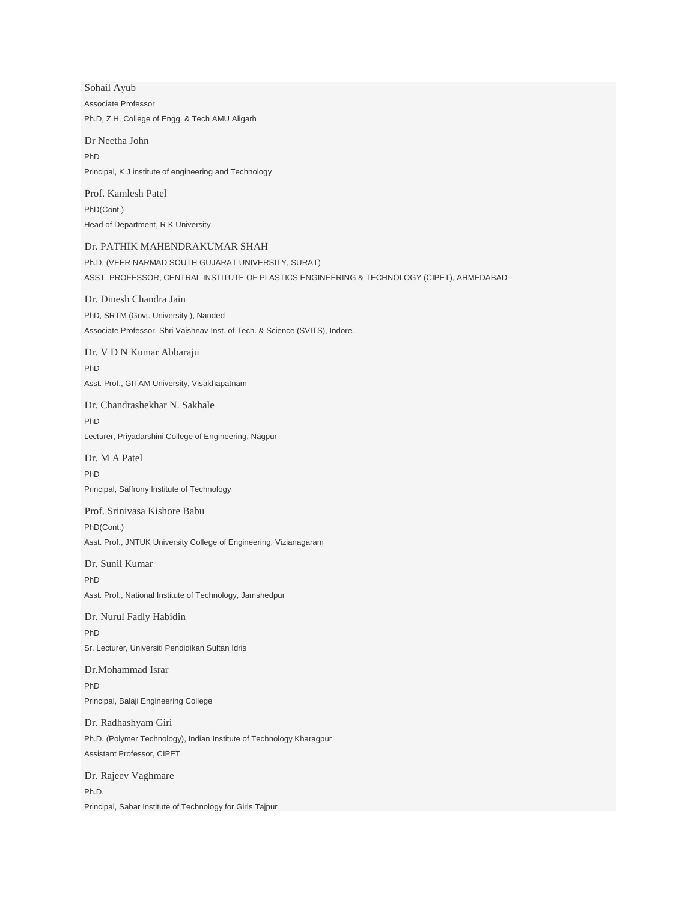Sohail Ayub Associate Professor Ph.D, Z.H. College of Engg. & Tech AMU Aligarh

Dr Neetha John PhD Principal, K J institute of engineering and Technology

Prof. Kamlesh Patel PhD(Cont.) Head of Department, R K University

#### Dr. PATHIK MAHENDRAKUMAR SHAH

Ph.D. (VEER NARMAD SOUTH GUJARAT UNIVERSITY, SURAT) ASST. PROFESSOR, CENTRAL INSTITUTE OF PLASTICS ENGINEERING & TECHNOLOGY (CIPET), AHMEDABAD

Dr. Dinesh Chandra Jain PhD, SRTM (Govt. University ), Nanded Associate Professor, Shri Vaishnav Inst. of Tech. & Science (SVITS), Indore.

Dr. V D N Kumar Abbaraju PhD Asst. Prof., GITAM University, Visakhapatnam

Dr. Chandrashekhar N. Sakhale PhD Lecturer, Priyadarshini College of Engineering, Nagpur

Dr. M A Patel PhD Principal, Saffrony Institute of Technology

Prof. Srinivasa Kishore Babu

PhD(Cont.)

Asst. Prof., JNTUK University College of Engineering, Vizianagaram

Dr. Sunil Kumar

PhD Asst. Prof., National Institute of Technology, Jamshedpur

Dr. Nurul Fadly Habidin PhD Sr. Lecturer, Universiti Pendidikan Sultan Idris

Dr.Mohammad Israr PhD Principal, Balaji Engineering College

Dr. Radhashyam Giri Ph.D. (Polymer Technology), Indian Institute of Technology Kharagpur Assistant Professor, CIPET

Dr. Rajeev Vaghmare Ph.D. Principal, Sabar Institute of Technology for Girls Tajpur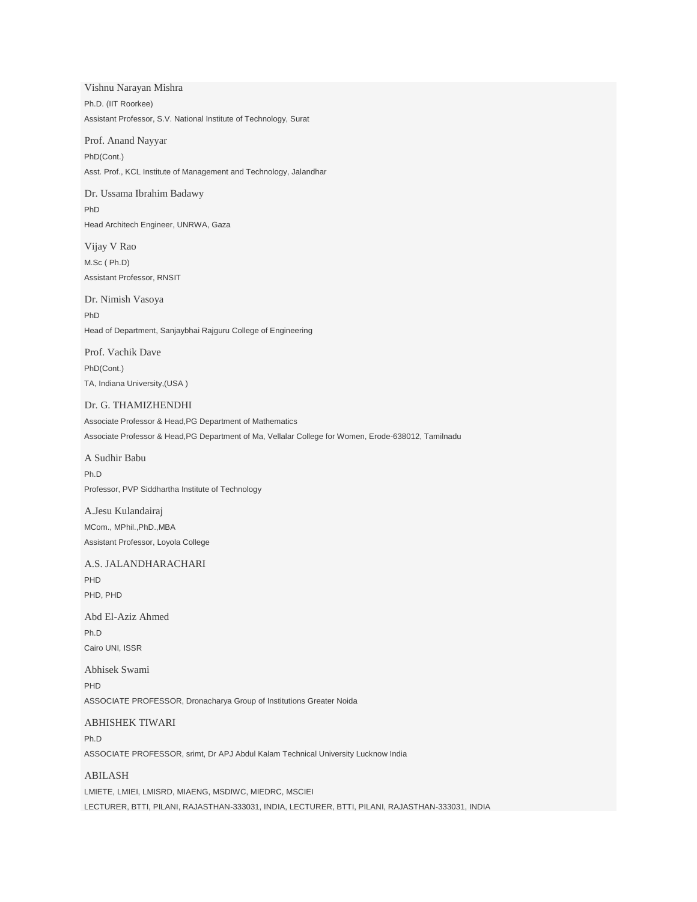Vishnu Narayan Mishra Ph.D. (IIT Roorkee) Assistant Professor, S.V. National Institute of Technology, Surat

Prof. Anand Nayyar PhD(Cont.) Asst. Prof., KCL Institute of Management and Technology, Jalandhar

Dr. Ussama Ibrahim Badawy PhD Head Architech Engineer, UNRWA, Gaza

Vijay V Rao M.Sc ( Ph.D) Assistant Professor, RNSIT

Dr. Nimish Vasoya PhD Head of Department, Sanjaybhai Rajguru College of Engineering

Prof. Vachik Dave PhD(Cont.) TA, Indiana University,(USA )

#### Dr. G. THAMIZHENDHI

Associate Professor & Head,PG Department of Mathematics Associate Professor & Head,PG Department of Ma, Vellalar College for Women, Erode-638012, Tamilnadu

A Sudhir Babu Ph.D Professor, PVP Siddhartha Institute of Technology

A.Jesu Kulandairaj MCom., MPhil.,PhD.,MBA Assistant Professor, Loyola College

#### A.S. JALANDHARACHARI

PHD PHD, PHD

Abd El-Aziz Ahmed Ph.D Cairo UNI, ISSR

Abhisek Swami PHD ASSOCIATE PROFESSOR, Dronacharya Group of Institutions Greater Noida

## ABHISHEK TIWARI

Ph.D ASSOCIATE PROFESSOR, srimt, Dr APJ Abdul Kalam Technical University Lucknow India

#### ABILASH

LMIETE, LMIEI, LMISRD, MIAENG, MSDIWC, MIEDRC, MSCIEI LECTURER, BTTI, PILANI, RAJASTHAN-333031, INDIA, LECTURER, BTTI, PILANI, RAJASTHAN-333031, INDIA